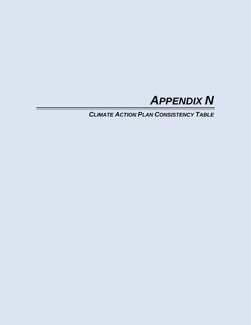

*CLIMATE ACTION PLAN CONSISTENCY TABLE*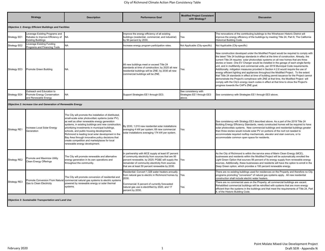## City of Richmond Climate Action Plan Consistency Table

| <b>Strategy</b>                                        |                                                                                                 | <b>Description</b>                                                                                                                                                                                                                                                                                                                                                                                                                                                                                                 | <b>Performance Goal</b>                                                                                                                                                                                                                                           | <b>Modified Project Consistent</b><br>with Strategy?         | <b>Discussion</b>                                                                                                                                                                                                                                                                                                                                                                                                                                                                                                                                                                                                                                                                                                                                                                                                                                                                                                                                                               |  |
|--------------------------------------------------------|-------------------------------------------------------------------------------------------------|--------------------------------------------------------------------------------------------------------------------------------------------------------------------------------------------------------------------------------------------------------------------------------------------------------------------------------------------------------------------------------------------------------------------------------------------------------------------------------------------------------------------|-------------------------------------------------------------------------------------------------------------------------------------------------------------------------------------------------------------------------------------------------------------------|--------------------------------------------------------------|---------------------------------------------------------------------------------------------------------------------------------------------------------------------------------------------------------------------------------------------------------------------------------------------------------------------------------------------------------------------------------------------------------------------------------------------------------------------------------------------------------------------------------------------------------------------------------------------------------------------------------------------------------------------------------------------------------------------------------------------------------------------------------------------------------------------------------------------------------------------------------------------------------------------------------------------------------------------------------|--|
| Objective 1: Energy Efficient Buildings and Facilities |                                                                                                 |                                                                                                                                                                                                                                                                                                                                                                                                                                                                                                                    |                                                                                                                                                                                                                                                                   |                                                              |                                                                                                                                                                                                                                                                                                                                                                                                                                                                                                                                                                                                                                                                                                                                                                                                                                                                                                                                                                                 |  |
| Strategy EE1                                           | Leverage Existing Programs and<br>Rebates to Improve Efficiency of<br><b>Existing Buildings</b> | <b>NA</b>                                                                                                                                                                                                                                                                                                                                                                                                                                                                                                          | mprove the energy efficiency of all existing<br>buildings (residential, commercial, and industrial)<br>by 50 percent by 2030.                                                                                                                                     | Yes                                                          | The renovations of the contributing buildings to the Winehaven Historic District will<br>improve the energy efficiency of the buildings by meeting Title 24, Part 8, The California<br>Historical Building Code.                                                                                                                                                                                                                                                                                                                                                                                                                                                                                                                                                                                                                                                                                                                                                                |  |
| Strategy EE2                                           | everage Existing Funding<br>Programs and Financing Tools                                        | <b>NA</b>                                                                                                                                                                                                                                                                                                                                                                                                                                                                                                          | ncrease energy program participation rates.                                                                                                                                                                                                                       | Not Applicable (City-specific)                               | Not Applicable (City-specific)                                                                                                                                                                                                                                                                                                                                                                                                                                                                                                                                                                                                                                                                                                                                                                                                                                                                                                                                                  |  |
| Strategy EE3                                           | Promote Green Building                                                                          | <b>NA</b>                                                                                                                                                                                                                                                                                                                                                                                                                                                                                                          | All new buildings meet or exceed Title 24<br>standards at time of construction; by 2020 all new<br>residential buildings will be ZNE; by 2030 all new<br>commercial buildings will be ZNE.                                                                        | /es                                                          | New construction developed under the Modified Project would be required to comply with<br>the latest Title 24 buildings standards in effect at the time of construction. Already, the<br>current Title 24 requires solar photovoltaic systems on all new homes that are three<br>stories or lower. One EV Charger would be installed in the garage of each single-family<br>unit, and in multifamily and commercial units, per 2019 Municipal Code requirements.<br>Additionally, mitigation measures provided in Section 4.2.6 would require the use of<br>energy efficient lighting and appliances throughout the Modified Project. To the extent<br>that Titile 24 standards in effect at time of building permit issuance for the Project cannot<br>demonstrate the Project's complinace with ZNE at that time, the Modified Project will<br>comply with the City's energy reach codes in effect at that time to show the Project's<br>progress towards the CAP's ZNE goal. |  |
| Strategy EE4                                           | Outreach and Education to<br>Promote Energy Conservation<br>and Renewable Energy                | <b>NA</b>                                                                                                                                                                                                                                                                                                                                                                                                                                                                                                          | Support Strategies EE1 through EE3.                                                                                                                                                                                                                               | See consistency with<br>Strategies EE1 through EE3<br>above. | See consistency with Strategies EE1 through EE3 above.                                                                                                                                                                                                                                                                                                                                                                                                                                                                                                                                                                                                                                                                                                                                                                                                                                                                                                                          |  |
|                                                        | Objective 2: Increase Use and Generation of Renewable Energy                                    |                                                                                                                                                                                                                                                                                                                                                                                                                                                                                                                    |                                                                                                                                                                                                                                                                   |                                                              |                                                                                                                                                                                                                                                                                                                                                                                                                                                                                                                                                                                                                                                                                                                                                                                                                                                                                                                                                                                 |  |
| Strategy RE1                                           | Increase Local Solar Energy<br>Generation                                                       | The City will promote the installation of distributed,<br>small-scale solar photovoltaic systems (solar PV),<br>as well as other renewable energy generation<br>systems, in existing buildings and new construction,<br>prioritizing investments in municipal buildings,<br>schools, and public housing developments.<br>Richmond is leading local solar development in the<br>Bay Area through innovative policy decisions that<br>create competition and marketplaces for local<br>renewable energy development. | By 2030, 1,010 new residential solar installations<br>averaging 4 kW per system; 69 new commercial<br>solar installations averaging 174 kW per system.                                                                                                            | Yes                                                          | See consistency with Strategy EE3 described above. As a part of the 2019 Title 24<br>Building Energy Efficiency Standards, newly constructed homes will be required to have<br>solar photovoltaic systems. New commercial buildings and residential buildings greater<br>than three stories would include solar PV on portions of the roof not needed to<br>accommodate required rooftop mechanicals, elevator and stair overruns, or to<br>accommodate common open space for residents.                                                                                                                                                                                                                                                                                                                                                                                                                                                                                        |  |
| Strategy RE2                                           | Promote and Maximize Utility<br>Clean Energy Offerings                                          | The City will promote renewable and alternative<br>energy generation in its own operations and<br>throughout the community.                                                                                                                                                                                                                                                                                                                                                                                        | In partnership with MCE supply at least 87 percent<br>of community electricity from sources that are 95<br>percent renewable, by 2025; PG&E will supply the<br>remainder of community electricity from sources<br>that are at least 50 percent renewable by 2030. | Yes                                                          | As the City of Richmond is within the service area of Marin Clean Energy (MCE),<br>businesses and residents within the Modified Project will be automatically enrolled the<br>Light Green Option that sources 56 percent of its energy supply from renewable energy<br>sources. Additionally, these businesses and residents will have the option to enroll in the<br>Deep Green option, which provides a 100 percent renewable energy.                                                                                                                                                                                                                                                                                                                                                                                                                                                                                                                                         |  |
|                                                        |                                                                                                 | The City will promote conversion of residential and<br>Promote Conversion From Natural commercial natural gas systems to electric systems                                                                                                                                                                                                                                                                                                                                                                          | Residential: Convert 1,328 water heaters annually<br>from natural gas to electric in Richmond homes by<br>2030.                                                                                                                                                   | Yes                                                          | There are no existing buildings used for residences on the Property and therefore no City<br>programs promoting "conversion" of natural gas systems apply. All new residential<br>construction shall include electric water heaters.                                                                                                                                                                                                                                                                                                                                                                                                                                                                                                                                                                                                                                                                                                                                            |  |
| Strategy RE3                                           | Gas to Clean Electricity                                                                        | powered by renewable energy or solar thermal<br>systems.                                                                                                                                                                                                                                                                                                                                                                                                                                                           | Commercial: 6 percent of currently forecasted<br>natural gas use is electrified by 2020, and 17<br>percent by 2030.                                                                                                                                               | Yes                                                          | There are no commercial uses on the Property; all commercial buildings are vacant.<br>Rehabilited commercial buildings will be retrofited with systems that are more energy<br>efficient than the systems in the buildings and that meet the requirements of Title 24, Part<br>8, of the Historic Building Code.                                                                                                                                                                                                                                                                                                                                                                                                                                                                                                                                                                                                                                                                |  |

*Objective 3: Sustainable Transportation and Land Use*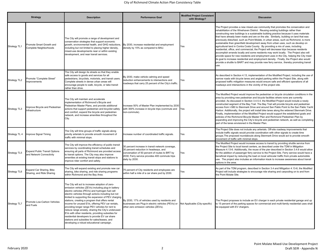| <b>Strategy</b> |                                                                  | <b>Description</b>                                                                                                                                                                                                                                                                                                                                                                                                                                                                                                                                                                                                                                                                         | <b>Performance Goal</b>                                                                                                                                                                                         | <b>Modified Project Consistent</b><br>with Strategy? | <b>Discussion</b>                                                                                                                                                                                                                                                                                                                                                                                                                                                                                                                                                                                                                                                                                                                                                                                                                                                                                                                                                                                                                                                                                     |
|-----------------|------------------------------------------------------------------|--------------------------------------------------------------------------------------------------------------------------------------------------------------------------------------------------------------------------------------------------------------------------------------------------------------------------------------------------------------------------------------------------------------------------------------------------------------------------------------------------------------------------------------------------------------------------------------------------------------------------------------------------------------------------------------------|-----------------------------------------------------------------------------------------------------------------------------------------------------------------------------------------------------------------|------------------------------------------------------|-------------------------------------------------------------------------------------------------------------------------------------------------------------------------------------------------------------------------------------------------------------------------------------------------------------------------------------------------------------------------------------------------------------------------------------------------------------------------------------------------------------------------------------------------------------------------------------------------------------------------------------------------------------------------------------------------------------------------------------------------------------------------------------------------------------------------------------------------------------------------------------------------------------------------------------------------------------------------------------------------------------------------------------------------------------------------------------------------------|
| Strategy TL1    | Promote Smart Growth and<br>Complete Neighborhoods               | The City will promote a range of development and<br>conservation strategies that support economic<br>growth, environmental health, and GHG reductions,<br>including but not limited to placing higher density,<br>mixed-use developments near or within existing<br>development, and near transit services.                                                                                                                                                                                                                                                                                                                                                                                | By 2030, increase residential and employment<br>density by 15% as compared to BAU.                                                                                                                              | Yes                                                  | The Project provides a new mixed-use community that promotes the conservation and<br>rehabilitation of the Winehaven District. Reusing existing buildings rather than<br>constructing new buildings is a sustainable building practice because it uses materials<br>that have already been made and are on the site. Similarly, building on land that was<br>previously disturbed, such as Point Molate, in urban areas, such as Richmond, is more<br>sustainable than greenfield development away from urban uses, such as develop on<br>agricultural land in Contra Costa County. By providing a mix of uses, including<br>residential, office, and commercial, the Project will decrease trips because residents<br>accomplish errands locally and some residents may work locally. The Project also will<br>provide space for new residents and employment uses in the City, helping the City meet<br>its goal to increase residential and employment density. Finally, the Project also would<br>provide a shuttle to BART and may provide new ferry service , thereby promoting transit<br>use. |
| Strategy TL2    | Promote "Complete Street"<br>mprovements                         | The City will design its streets so that they enable<br>safe access to goods and services for all<br>pedestrians, bicyclists, motorists, and transit users.<br>Complete streets in dense urban areas will<br>encourage people to walk, bicycle, or take transit<br>rather than drive.                                                                                                                                                                                                                                                                                                                                                                                                      | By 2030, make vehicle calming and speed<br>eduction enhancements to intersections and<br>roadways that carry 25 percent of the City's traffic.                                                                  | Yes                                                  | As described in Section 4.13, implementation of the Modified Project, including the use of<br>narrow roads with bicycle lanes and angled parking within the Project Site, along with<br>proposed traffic mitigation measures would ensure safe and efficient operations of all<br>roadways and intersections in the vicinity of the project site.                                                                                                                                                                                                                                                                                                                                                                                                                                                                                                                                                                                                                                                                                                                                                     |
| Strategy TL3    | mprove Bicycle and Pedestrian<br>nfrastructure                   | The City will maintain and accelerate<br>implementation of Richmond's Bicycle and<br>Pedestrian Master Plans, and provide additional<br>actions that support pedestrian and bicyclist safety<br>and comfort, expand the bicycle and pedestrian<br>network, and increase amenities throughout the<br>City.                                                                                                                                                                                                                                                                                                                                                                                  | Increase 50% of Master Plan implemented by 2030<br>with 300% increase in bicycle trips (commute and<br>non-commute).                                                                                            | Yes                                                  | The Modified Project would improve the pedestrian or bicycle circulation conditions in the<br>area by providing new pedestrian and bicycle facilities where none are currently<br>provided. As discussed in Section 3.4.5.4, the Modified Project would include a newly<br>constructed segment of the Bay Trail. The Bay Trail will provide bicycle and pedestrian<br>access from I-580 to Stenmark Drive and around San Pablo Point to the San Pablo Yacht<br>Harbor. Additionally, the project will install bike lanes along the widened Stenmark Drive.<br>Finally, implementation of the Modified Project would support the established goals and<br>policies of the Richmond Bicycle Master Plan and Richmond Pedestrian Plan by<br>expanding and improving the City's bicycle and pedestrian network, as well as completing<br>part of the lanes envisioned in the Master Plan.                                                                                                                                                                                                                 |
| Strategy TL 4   | mprove Signal Timing                                             | The City will time groups of traffic signals along<br>priority arterials to provide smooth movement of<br>traffic with minimal stops.                                                                                                                                                                                                                                                                                                                                                                                                                                                                                                                                                      | ncrease number of coordinated traffic signals.                                                                                                                                                                  | Yes                                                  | The Project Site does not include any artierials. Off-site roadway improvements that<br>include traffic signals would provide coordination with other signals to create time<br>groups. The proposed roundabouts along Stenmark Drive would act to provide smooth<br>movement of traffic with minimal stops.                                                                                                                                                                                                                                                                                                                                                                                                                                                                                                                                                                                                                                                                                                                                                                                          |
| Strategy TL5    | <b>Expand Public Transit Options</b><br>and Network Connectivity | The City will improve the efficiency of public transit<br>services by coordinating transit schedules and<br>ensuring all parts of Richmond are provided access<br>to transit options. The City may also improve<br>amenities at existing transit stops and stations to<br>improve rider comfort and safety.                                                                                                                                                                                                                                                                                                                                                                                | 30 percent increase in transit network coverage,<br>30 percent reduction in headways, and<br>conversation of 50 percent of routes to BRT by<br>2030; Ferry service provides 400 commute trips<br>daily by 2030. | Yes                                                  | The Modified Project would increase access to transit by providing shuttle service from<br>the Project Site to local transit centers, as described under the TDM in Mitigation<br>Measure 4.13-6. Additionally, the reuse of the pier described in Section 3.4.6 would allow<br>for the addition of passenger ferry service to the Project Site. Ferry service would have a<br>beneficial impact by reducing the load on local vehicular traffic from private automobile<br>use. The project also includes an information kisok to increase awareness about transit<br>options in the area.                                                                                                                                                                                                                                                                                                                                                                                                                                                                                                           |
| Strategy TL6    | Expand Car Sharing, Bike<br>Sharing, and Ride Sharing            | The City will expand existing and promote new car<br>sharing, bike sharing, and ride sharing programs<br>within Richmond and the Bay Area.                                                                                                                                                                                                                                                                                                                                                                                                                                                                                                                                                 | 75 percent of City residents and employees are<br>within half a mile of a car share pod by 2030.                                                                                                                | Yes                                                  | As part of the TDM program, described in Section 3.4 and Mitigation 4.13-6, the Modified<br>Project will include strategies to encourage ride sharing and carpooling on to and from<br>the Point Molate Site.                                                                                                                                                                                                                                                                                                                                                                                                                                                                                                                                                                                                                                                                                                                                                                                                                                                                                         |
| Strategy TL7    | Promote Low-Carbon Vehicles<br>and Fuels                         | The City will act to increase adoption of zero-<br>emission vehicles (ZEVs) including plug-in battery<br>electric vehicles (PEVs) and hydrogen fuel cell<br>electric vehicles through actions including but not<br>limited to supporting the expansion of PEV charging<br>stations, creating a program that offers rental<br>income for unused EVs, offering PEV car rentals,<br>providing longer range PEV vehicles for rent to<br>reduce range anxiety, sharing the City's underused<br>EVs with other residents, providing subsidies for<br>residential developers to provide EV car share<br>stations and subsidies for sales/leases, and<br>developing a robust educational campaign. | By 2030, 17% of vehicles used by residents and<br>businesses are Plug-in electric vehicles (PEVs) or<br>other zero emission vehicles (ZEVs).                                                                    | Not Applicable (City-specific)                       | The Project proposes to include an EV charger in each private residential garage and up<br>to 15 percent of the parking spaces for commercial and multi-family residential uses shall<br>be equipped with EV chargers.                                                                                                                                                                                                                                                                                                                                                                                                                                                                                                                                                                                                                                                                                                                                                                                                                                                                                |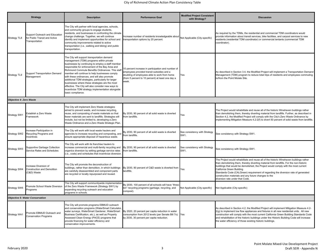| <b>Strategy</b>                        |                                                                                   | <b>Description</b>                                                                                                                                                                                                                                                                                                                                                                                                                                                                                                                                                                            | <b>Performance Goal</b>                                                                                                                                                                                        | <b>Modified Project Consistent</b><br>with Strategy? | <b>Discussion</b>                                                                                                                                                                                                                                                                                                                                                                                                                                                                    |
|----------------------------------------|-----------------------------------------------------------------------------------|-----------------------------------------------------------------------------------------------------------------------------------------------------------------------------------------------------------------------------------------------------------------------------------------------------------------------------------------------------------------------------------------------------------------------------------------------------------------------------------------------------------------------------------------------------------------------------------------------|----------------------------------------------------------------------------------------------------------------------------------------------------------------------------------------------------------------|------------------------------------------------------|--------------------------------------------------------------------------------------------------------------------------------------------------------------------------------------------------------------------------------------------------------------------------------------------------------------------------------------------------------------------------------------------------------------------------------------------------------------------------------------|
| Strategy TL8                           | Support Outreach and Education<br>for Public Transit and Active<br>Transportation | The City will partner with local agencies, schools,<br>and community groups to engage students,<br>residents, and businesses in confronting the climate<br>change challenge. Together, we will continue<br>identify and implement opportunities for school and<br>community improvements related to active<br>transportation (i.e., walking and biking) and public<br>transportation.                                                                                                                                                                                                         | ncrease number of residents knowledgeable abou<br>transportation options by 20 percent.                                                                                                                        | Not Applicable (City-specific)                       | As required by the TDMs, the residential and commercial TDM coordinators would<br>provide information about transit services, bike facilities, and carpool services to new<br>residents (residential TDM coordinator) or commercial tentants (commercial TDM<br>coordinator).                                                                                                                                                                                                        |
| Strategy TL9                           | Support Transportation Demand<br>Management                                       | The City will support transportation demand<br>management (TDM) programs within private<br>businesses by continuing to employ a staff member<br>responsible for enforcement of the Bay Area and<br>Richmond Commute Benefits Ordinances. This staff<br>member will continue to help businesses comply<br>with these ordinances, and will also promote<br>additional TDM strategies, particularly for larger<br>businesses where these strategies are the most<br>effective. The City will also consider new ways to<br>incentivize TDM strategy implementation alongside<br>basic compliance. | 10 percent increase in participation and number of<br>employees provided transit subsidies and a<br>doubling of employees able to work from home<br>(from 5 percent to 10 percent) at least one day a<br>week. | Yes                                                  | As described in Section 3.4, the Modified Project will implement a Transportation Demand<br>Management (TDM) program to reduce total trips of residents and employees commuting<br>to/from the Point Molate Site.                                                                                                                                                                                                                                                                    |
| Objective 4: Zero Waste                |                                                                                   |                                                                                                                                                                                                                                                                                                                                                                                                                                                                                                                                                                                               |                                                                                                                                                                                                                |                                                      |                                                                                                                                                                                                                                                                                                                                                                                                                                                                                      |
| Strategy SW1                           | Establish a Zero Waste<br>Framework                                               | The City will implement Zero Waste strategies<br>aimed to prevent waste, and increase recycling,<br>reuse, and composting of waste materials so that<br>fewer materials are sent to landfills. Strategies will<br>include, but not be limited to, developing a Zero<br>Waste Ordinance and a Zero Waste Strategic Plan.                                                                                                                                                                                                                                                                       | By 2030, 90 percent of all solid waste is diverted<br>from landfills.                                                                                                                                          | Yes                                                  | The Project would rehabilitate and reuse all of the historic Winehaven buildings rather<br>than demolishing them, thereby diverting material from landfills. Further, as described in<br>Section 4.2, the Modified Project will comply with the City's Zero Waste Ordinance by<br>implementing Mitigation Measure 4.2-2(f) to divert 50 percent of solid waste from landfills.                                                                                                       |
| Strategy SW2                           | ncrease Participation in<br>Recycling Programs and<br>ncentives                   | The City will work with local waste haulers and<br>agencies to increase recycling and composting, and<br>ensure appropriate disposal of hazardous waste.                                                                                                                                                                                                                                                                                                                                                                                                                                      | By 2030, 90 percent of all solid waste is diverted<br>from landfills.                                                                                                                                          | See consistency with Strategy<br>SW1.                | See consistency with Strategy SW1.                                                                                                                                                                                                                                                                                                                                                                                                                                                   |
| Strategy SW3                           | Supportive Garbage Collection<br>Service Rates and Schedules                      | The City will work with its franchise haulers to<br>increase commercial and multi-family recycling and By 2030, 90 percent of all solid waste is diverted<br>organics diversion by setting garbage service rates<br>(i.e., costs) and schedules that incentivize diversion.                                                                                                                                                                                                                                                                                                                   | from landfills.                                                                                                                                                                                                | See consistency with Strategy<br>SW1.                | See consistency with Strategy SW1.                                                                                                                                                                                                                                                                                                                                                                                                                                                   |
| Strategy SW4                           | ncrease Diversion of<br><b>Construction and Demolition</b><br>C&D) Waste          | The City will promote the deconstruction of<br>buildings, rather than demolition, in which buildings<br>are carefully disassembled and component parts<br>are recycled or locally repurposed and reused.                                                                                                                                                                                                                                                                                                                                                                                      | By 2030, 90 percent of C&D waste is diverted from<br>landfills.                                                                                                                                                | Yes                                                  | The Project would rehabilitate and reuse all of the historic Winehaven buildings rather<br>han demolishing them, thereby diverting material from landfills. For the non-historic<br>buildings that would be demolished, the Project would comply with the most current<br>California Green Building<br>Standards Code (CALGreen) requirement of regarding the diversion rate of generated<br>construction materials and any future changes to the<br>diversion rate under that Code. |
| Strategy SW5                           | Promote School Waste Diversion<br>Programs                                        | The City will support communitywide implementatior<br>of the Zero Waste Framework (Strategy SW1) by<br>expanding recycling outreach and education<br>programs in schools.                                                                                                                                                                                                                                                                                                                                                                                                                     | By 2030, 100 percent of all schools will have "three-<br>bin" recycling programs (garbage, recycling, and<br>compost).                                                                                         | Not Applicable (City-specific)                       | Not Applicable (City-specific)                                                                                                                                                                                                                                                                                                                                                                                                                                                       |
| <b>Objective 5: Water Conservation</b> |                                                                                   |                                                                                                                                                                                                                                                                                                                                                                                                                                                                                                                                                                                               |                                                                                                                                                                                                                |                                                      |                                                                                                                                                                                                                                                                                                                                                                                                                                                                                      |
| Strategy WA1                           | Promote EBMUD Outreach and<br><b>Conservation Programs</b>                        | The City will promote programs EBMUD outreach<br>and conservation programs (WaterSmart Calculator,<br>water surveys, WaterSmart Gardener, WaterSmart<br>Business Certification, etc.), as well as Property<br>Assessed Clean Energy (PACE) programs that<br>provide financing for water efficiency and<br>conservation improvements.                                                                                                                                                                                                                                                          | By 2020, 20 percent per capita reduction in water<br>consumption from 2012 levels (per Senate Bill 7x); Yes<br>by 2030, 30 percent per capita reduction.                                                       |                                                      | As described in Section 4.2, the Modified Project will implement Mitigation Measure 4.2-<br>2(q) to implement low flow appliances and fixtures in all new residential units. All new<br>construction will comply with the most current California Green Building Standards Code<br>and rehabilitation of the historic buildings under the Historic Building Code will increase<br>the water efficiency of those existing historic buildings.                                         |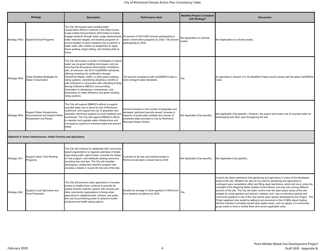|                                                                   | <b>Strategy</b>                                                                               | <b>Description</b>                                                                                                                                                                                                                                                                                                                                                                                                                                                                                                                                                                                  | <b>Performance Goal</b>                                                                                                                                                                                                           | <b>Modified Project Consistent</b><br>with Strategy? | <b>Discussion</b>                                                                                                                                                                                                                                                                                                                                                                                                                                                                                                                                                                                                                                                                                                                                                                                                                                                                            |  |
|-------------------------------------------------------------------|-----------------------------------------------------------------------------------------------|-----------------------------------------------------------------------------------------------------------------------------------------------------------------------------------------------------------------------------------------------------------------------------------------------------------------------------------------------------------------------------------------------------------------------------------------------------------------------------------------------------------------------------------------------------------------------------------------------------|-----------------------------------------------------------------------------------------------------------------------------------------------------------------------------------------------------------------------------------|------------------------------------------------------|----------------------------------------------------------------------------------------------------------------------------------------------------------------------------------------------------------------------------------------------------------------------------------------------------------------------------------------------------------------------------------------------------------------------------------------------------------------------------------------------------------------------------------------------------------------------------------------------------------------------------------------------------------------------------------------------------------------------------------------------------------------------------------------------------------------------------------------------------------------------------------------------|--|
| Strategy WA2                                                      | <b>Expand School Programs</b>                                                                 | The City will expand upon existing water<br>conservation efforts in schools in the West Contra<br>Costa Unified School District (WCCUSD) to further<br>engage students through water usage assessments,<br>water reduction targets, and tracking programs of<br>school facilities to teach students how to perform a<br>water audit, with a follow up assignment to apply<br>these auditing, target setting, and tracking skills at<br>home.                                                                                                                                                        | 25 percent of WCCUSD schools participating in<br>water conservation programs by 2020; 100 percent<br>participating by 2030.                                                                                                       | Not Applicable (no schools<br>onsite)                | Not Applicable (no schools onsite)                                                                                                                                                                                                                                                                                                                                                                                                                                                                                                                                                                                                                                                                                                                                                                                                                                                           |  |
| Strategy WA3                                                      | Green Building Strategies for<br>Water Conservation                                           | The City will employ a variety of strategies to reduce<br>water use via green building techniques, such as<br>ensuring that all projects demonstrate compliance<br>with, at minimum, the 2013 CalGREEN standards;<br>offering incentives for certification through<br>GreenPoint Rated, LEED, or other green building<br>rating systems; considering adopting a retrofit-on<br>sale ordinance in conjunction with a Building Energy<br>Saving Ordinance (BESO); and providing<br>information to developers, homeowners, and<br>businesses on water efficiency and green building<br>rating systems. | 100 percent compliance with CalGREEN Code or<br>more stringent water standards.                                                                                                                                                   | Yes                                                  | As described in Section 4.5, the Modified Project would comply with the latest CalGREEN<br>Code.                                                                                                                                                                                                                                                                                                                                                                                                                                                                                                                                                                                                                                                                                                                                                                                             |  |
| <b>Strategy WA4</b>                                               | Support Water Infrastructure<br>Improvements and Expand Water<br><b>Reclamation and Reuse</b> | The City will support EBMUD's efforts to expand<br>recycled water use to serve its City of Richmond<br>customers, and support the use of graywater and<br>rainwater catchment systems by local residents and<br>businesses. The City will support EBMUD's efforts<br>to maintain and upgrade water infrastructure and<br>conveyance systems to minimize leaks and prevent<br>waste.                                                                                                                                                                                                                 | Annual increases in the number of graywater and<br>ainwater catchment permits issued; increase in<br>capacity of purple pipe installed and volume of<br>reclaimed water provided to City by Richmond<br>Municipal Sewer District. | Not Applicable (City-specific)                       | Not Applicable (City-specific). However, the project will involve use of recycled water for<br>landscaping and other uses throughoug the site.                                                                                                                                                                                                                                                                                                                                                                                                                                                                                                                                                                                                                                                                                                                                               |  |
| Objective 6: Green Infrastructure, Urban Forestry and Agriculture |                                                                                               |                                                                                                                                                                                                                                                                                                                                                                                                                                                                                                                                                                                                     |                                                                                                                                                                                                                                   |                                                      |                                                                                                                                                                                                                                                                                                                                                                                                                                                                                                                                                                                                                                                                                                                                                                                                                                                                                              |  |
| Strategy GA1                                                      | Support Urban Tree-Planting<br>Programs                                                       | The City will continue to collaborate with community-<br>based organizations to organize plantings of shade<br>trees along public right-of-ways, promote the Adopt-<br>A-Tree program, and distribute existing resources<br>providing tree care tips. The City will consider<br>developing a shade tree incentive program that<br>provides a rebate or covers the full cost of the tree.                                                                                                                                                                                                            | 5 percent of all new and existing homes in<br>Richmond will plant a shade tree by 2030.                                                                                                                                           | Not Applicable (City-specific)                       | Not Applicable (City-specific)                                                                                                                                                                                                                                                                                                                                                                                                                                                                                                                                                                                                                                                                                                                                                                                                                                                               |  |
| <b>Strategy GA2</b>                                               | Support Local Agriculture and<br>Food Production                                              | The City will promote urban agriculture to increase<br>access to healthy food; continue to promote its<br>weekly farmers markets; partner with schools and<br>other community organizations to bring urban<br>agriculture to neighborhoods, schools, and parks;<br>and use its purchasing power to advance locally-<br>produced and health eating options.                                                                                                                                                                                                                                          | Double the acreage of urban gardens in Richmond<br>from baseline conditions by 2030.                                                                                                                                              | Yes                                                  | Current site deed restrictions limit gardening and agriculture in many of the developed<br>areas of the site. Whether the site can be used for gardening and agriculture is<br>contingent upon remediation effort and lifting deed restrictions, which will occur under the<br>oversight of the Regional Water Quality Control Board, and may vary among different<br>portions of the site. The City will retain control over the open-space areas of the site<br>suitable for urban gardens and farmers' markets, and may run farmers markets and<br>community gardens in any of the City-owned open spaces developed by the Project. The<br>Project applicant also would be willing to put provisions in the CC&Rs about hosting<br>farmers markets in privately-owned open space areas, such as plazas, if a community<br>group wants to have a market there and covers applicable costs. |  |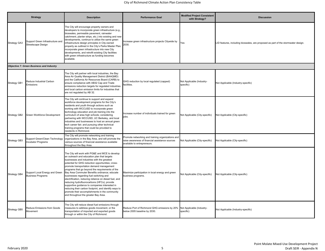## City of Richmond Climate Action Plan Consistency Table

| <b>Strategy</b>     |                                                            | <b>Description</b>                                                                                                                                                                                                                                                                                                                                                                                                                                                                                                                                                                                                                                                                                          | <b>Performance Goal</b>                                                                                                             | <b>Modified Project Consistent</b><br>with Strategy? | <b>Discussion</b>                                                                 |
|---------------------|------------------------------------------------------------|-------------------------------------------------------------------------------------------------------------------------------------------------------------------------------------------------------------------------------------------------------------------------------------------------------------------------------------------------------------------------------------------------------------------------------------------------------------------------------------------------------------------------------------------------------------------------------------------------------------------------------------------------------------------------------------------------------------|-------------------------------------------------------------------------------------------------------------------------------------|------------------------------------------------------|-----------------------------------------------------------------------------------|
| <b>Strategy GA3</b> | Support Green Infrastructure and<br>Streetscape Design     | The City will encourage property owners and<br>developers to incorporate green infrastructure (e.g.,<br>bioswales, permeable pavement, rainwater<br>catchment, planter strips, etc.) into existing and new<br>developments, continue to utilize the same green<br>infrastructure design principles in City-owned<br>property as outlined in the City's Parks Master Plan,<br>incorporate green infrastructure into new City<br>developments, and retrofit existing City facilities<br>with green infrastructure as funding becomes<br>available.                                                                                                                                                            | ncrease green infrastructure projects Citywide by<br>2030.                                                                          | Yes                                                  | LID features, including bioswales, are proposed as part of the stormwater design. |
|                     | <b>Objective 7: Green Business and Industry</b>            |                                                                                                                                                                                                                                                                                                                                                                                                                                                                                                                                                                                                                                                                                                             |                                                                                                                                     |                                                      |                                                                                   |
| Strategy GB1        | Reduce Industrial Carbon<br>Emissions                      | The City will partner with local industries, the Bay<br>Area Air Quality Management District (BAAQMD)<br>and the California Air Resources Board (CARB) to<br>ensure compliance with AB32 Cap and Trade<br>emissions reduction targets for regulated industries<br>and local carbon emission limits for industries that<br>are not regulated by AB 32.                                                                                                                                                                                                                                                                                                                                                       | GHG reduction by local regulated (capped)<br>facilities.                                                                            | Not Applicable (Industry-<br>specific)               | Not Applicable (Industry-specific)                                                |
| <b>Strategy GB2</b> | Green Workforce Development                                | The City will continue to support and expand<br>workforce development programs for the City's<br>residents and youth through actions such as<br>working with WCCUSD to incorporate green<br>technology education and job training into the<br>curriculum of area high schools; considering<br>partnering with WCCUSD, UC Berkeley, and local<br>industries and businesses to host an annual green<br>tech career fair; and pursuing other technical<br>training programs that could be provided to<br>residents in Richmond.                                                                                                                                                                                | Increase number of individuals trained for green<br>jobs.                                                                           | Not Applicable (City-specific)                       | Not Applicable (City-specific)                                                    |
| Strategy GB3        | Support Green/Clean Technology<br>Incubator Programs       | The City will promote networking and training<br>organizations in the Bay Area, and will promote the<br>various sources of financial assistance available<br>throughout the Bay Area.                                                                                                                                                                                                                                                                                                                                                                                                                                                                                                                       | Promote networking and training organizations and<br>raise awareness of financial assistance sources<br>available to entrepreneurs. | Not Applicable (City-specific)                       | Not Applicable (City-specific)                                                    |
| <b>Strategy GB4</b> | Support Local Energy and Green<br><b>Business Programs</b> | The City will work with PG&E and MCE to develop<br>an outreach and education plan that targets<br>businesses and industries with the greatest<br>potential for GHG reduction opportunities; cross-<br>promote transportation demand management<br>programs that go beyond the requirements of the<br>Bay Area Commuter Benefits ordinance; educate<br>businesses regarding fuel switching and<br>electrification, reducing reliance on diesel fuel, and<br>reducing hydrofluorocarbons (HFCs); provide<br>supportive guidance to companies interested in<br>reducing their carbon footprint, and identify ways to<br>promote their accomplishments in the community<br>and throughout the greater Bay Area. | Maximize participation in local energy and green<br>business programs.                                                              | Not Applicable (City-specific)                       | Not Applicable (City-specific)                                                    |
| <b>Strategy GB5</b> | Reduce Emissions from Goods<br>Movement                    | The City will reduce diesel fuel emissions through<br>measures to address goods movement, or the<br>transportation of imported and exported goods<br>through or within the City of Richmond.                                                                                                                                                                                                                                                                                                                                                                                                                                                                                                                | Reduce Port of Richmond GHG emissions by 20% Not Applicable (Industry-<br>below 2005 baseline by 2030.                              | specific)                                            | Not Applicable (Industry-specific)                                                |